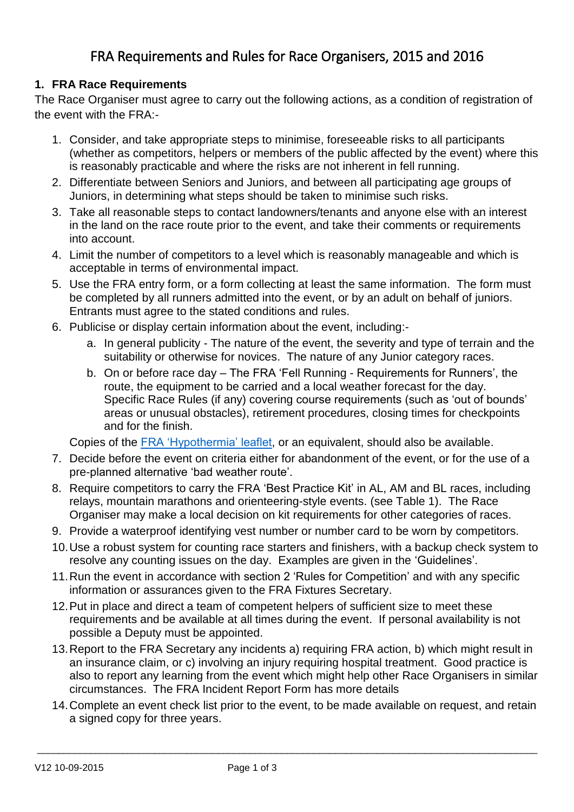# FRA Requirements and Rules for Race Organisers, 2015 and 2016

#### **1. FRA Race Requirements**

The Race Organiser must agree to carry out the following actions, as a condition of registration of the event with the FRA:-

- 1. Consider, and take appropriate steps to minimise, foreseeable risks to all participants (whether as competitors, helpers or members of the public affected by the event) where this is reasonably practicable and where the risks are not inherent in fell running.
- 2. Differentiate between Seniors and Juniors, and between all participating age groups of Juniors, in determining what steps should be taken to minimise such risks.
- 3. Take all reasonable steps to contact landowners/tenants and anyone else with an interest in the land on the race route prior to the event, and take their comments or requirements into account.
- 4. Limit the number of competitors to a level which is reasonably manageable and which is acceptable in terms of environmental impact.
- 5. Use the FRA entry form, or a form collecting at least the same information. The form must be completed by all runners admitted into the event, or by an adult on behalf of juniors. Entrants must agree to the stated conditions and rules.
- 6. Publicise or display certain information about the event, including:
	- a. In general publicity The nature of the event, the severity and type of terrain and the suitability or otherwise for novices. The nature of any Junior category races.
	- b. On or before race day The FRA 'Fell Running Requirements for Runners', the route, the equipment to be carried and a local weather forecast for the day. Specific Race Rules (if any) covering course requirements (such as 'out of bounds' areas or unusual obstacles), retirement procedures, closing times for checkpoints and for the finish.

Copies of the [FRA 'Hypothermia' leaflet,](http://fellrunner.org.uk/pdf/FRA_Hypothermia.pdf) or an equivalent, should also be available.

- 7. Decide before the event on criteria either for abandonment of the event, or for the use of a pre-planned alternative 'bad weather route'.
- 8. Require competitors to carry the FRA 'Best Practice Kit' in AL, AM and BL races, including relays, mountain marathons and orienteering-style events. (see Table 1). The Race Organiser may make a local decision on kit requirements for other categories of races.
- 9. Provide a waterproof identifying vest number or number card to be worn by competitors.
- 10.Use a robust system for counting race starters and finishers, with a backup check system to resolve any counting issues on the day. Examples are given in the 'Guidelines'.
- 11.Run the event in accordance with section 2 'Rules for Competition' and with any specific information or assurances given to the FRA Fixtures Secretary.
- 12.Put in place and direct a team of competent helpers of sufficient size to meet these requirements and be available at all times during the event. If personal availability is not possible a Deputy must be appointed.
- 13.Report to the FRA Secretary any incidents a) requiring FRA action, b) which might result in an insurance claim, or c) involving an injury requiring hospital treatment. Good practice is also to report any learning from the event which might help other Race Organisers in similar circumstances. The FRA Incident Report Form has more details
- 14.Complete an event check list prior to the event, to be made available on request, and retain a signed copy for three years.

 $\_$  ,  $\_$  ,  $\_$  ,  $\_$  ,  $\_$  ,  $\_$  ,  $\_$  ,  $\_$  ,  $\_$  ,  $\_$  ,  $\_$  ,  $\_$  ,  $\_$  ,  $\_$  ,  $\_$  ,  $\_$  ,  $\_$  ,  $\_$  ,  $\_$  ,  $\_$  ,  $\_$  ,  $\_$  ,  $\_$  ,  $\_$  ,  $\_$  ,  $\_$  ,  $\_$  ,  $\_$  ,  $\_$  ,  $\_$  ,  $\_$  ,  $\_$  ,  $\_$  ,  $\_$  ,  $\_$  ,  $\_$  ,  $\_$  ,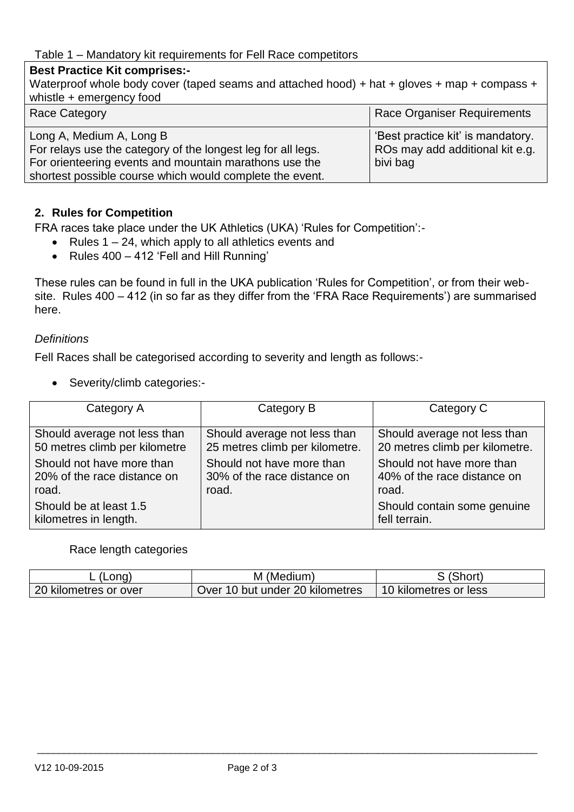## **Best Practice Kit comprises:-**

| Waterproof whole body cover (taped seams and attached hood) + hat + gloves + map + compass +<br>whistle + emergency food                                                                                       |                                                                                  |
|----------------------------------------------------------------------------------------------------------------------------------------------------------------------------------------------------------------|----------------------------------------------------------------------------------|
| <b>Race Category</b>                                                                                                                                                                                           | Race Organiser Requirements                                                      |
| Long A, Medium A, Long B<br>For relays use the category of the longest leg for all legs.<br>For orienteering events and mountain marathons use the<br>shortest possible course which would complete the event. | 'Best practice kit' is mandatory.<br>ROs may add additional kit e.g.<br>bivi bag |

#### **2. Rules for Competition**

FRA races take place under the UK Athletics (UKA) 'Rules for Competition':-

- Rules  $1 24$ , which apply to all athletics events and
- Rules 400 412 'Fell and Hill Running'

These rules can be found in full in the UKA publication 'Rules for Competition', or from their website. Rules 400 – 412 (in so far as they differ from the 'FRA Race Requirements') are summarised here.

#### *Definitions*

Fell Races shall be categorised according to severity and length as follows:-

• Severity/climb categories:-

| Category A                                      | Category B                     | Category C                                   |
|-------------------------------------------------|--------------------------------|----------------------------------------------|
| Should average not less than                    | Should average not less than   | Should average not less than                 |
| 50 metres climb per kilometre                   | 25 metres climb per kilometre. | 20 metres climb per kilometre.               |
| Should not have more than                       | Should not have more than      | Should not have more than                    |
| 20% of the race distance on                     | 30% of the race distance on    | 40% of the race distance on                  |
| road.                                           | road.                          | road.                                        |
| Should be at least 1.5<br>kilometres in length. |                                | Should contain some genuine<br>fell terrain. |

#### Race length categories

| .ona)                 | M (Medium)                      | (Short                |
|-----------------------|---------------------------------|-----------------------|
| 20 kilometres or over | Over 10 but under 20 kilometres | 10 kilometres or less |

 $\_$  ,  $\_$  ,  $\_$  ,  $\_$  ,  $\_$  ,  $\_$  ,  $\_$  ,  $\_$  ,  $\_$  ,  $\_$  ,  $\_$  ,  $\_$  ,  $\_$  ,  $\_$  ,  $\_$  ,  $\_$  ,  $\_$  ,  $\_$  ,  $\_$  ,  $\_$  ,  $\_$  ,  $\_$  ,  $\_$  ,  $\_$  ,  $\_$  ,  $\_$  ,  $\_$  ,  $\_$  ,  $\_$  ,  $\_$  ,  $\_$  ,  $\_$  ,  $\_$  ,  $\_$  ,  $\_$  ,  $\_$  ,  $\_$  ,